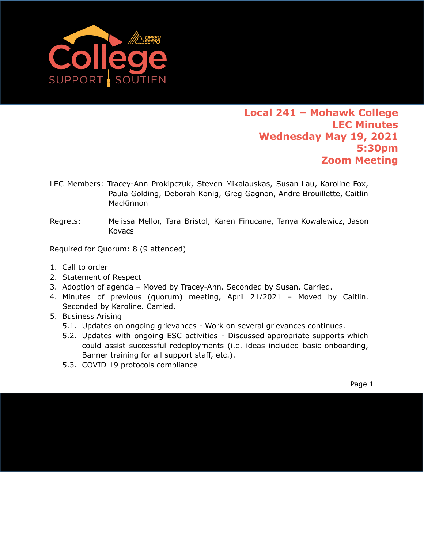

- LEC Members: Tracey-Ann Prokipczuk, Steven Mikalauskas, Susan Lau, Karoline Fox, Paula Golding, Deborah Konig, Greg Gagnon, Andre Brouillette, Caitlin **MacKinnon**
- Regrets: Melissa Mellor, Tara Bristol, Karen Finucane, Tanya Kowalewicz, Jason Kovacs

Required for Quorum: 8 (9 attended)

- 1. Call to order
- 2. [Statement of Respect](https://opseu.org/wp-content/uploads/2014/04/Statement-of-Respect-2019.pdf)
- 3. Adoption of agenda Moved by Tracey-Ann. Seconded by Susan. Carried.
- 4. Minutes of previous (quorum) meeting, April 21/2021 Moved by Caitlin. Seconded by Karoline. Carried.
- 5. Business Arising
	- 5.1. Updates on ongoing grievances Work on several grievances continues.
	- 5.2. Updates with ongoing ESC activities Discussed appropriate supports which could assist successful redeployments (i.e. ideas included basic onboarding, Banner training for all support staff, etc.).
	- 5.3. COVID 19 protocols compliance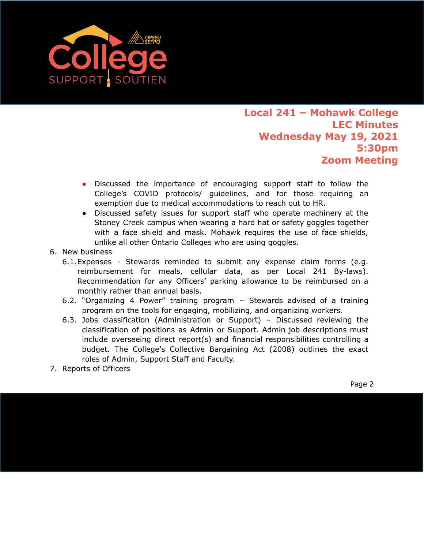

- Discussed the importance of encouraging support staff to follow the College's COVID protocols/ guidelines, and for those requiring an exemption due to medical accommodations to reach out to HR.
- Discussed safety issues for support staff who operate machinery at the Stoney Creek campus when wearing a hard hat or safety goggles together with a face shield and mask. Mohawk requires the use of face shields, unlike all other Ontario Colleges who are using goggles.
- 6. New business
	- 6.1.Expenses Stewards reminded to submit any expense claim forms (e.g. reimbursement for meals, cellular data, as per Local 241 By-laws). Recommendation for any Officers' parking allowance to be reimbursed on a monthly rather than annual basis.
	- 6.2. "Organizing 4 Power" training program Stewards advised of a training program on the tools for engaging, mobilizing, and organizing workers.
	- 6.3. Jobs classification (Administration or Support) Discussed reviewing the classification of positions as Admin or Support. Admin job descriptions must include overseeing direct report(s) and financial responsibilities controlling a budget. The College's Collective Bargaining Act (2008) outlines the exact roles of Admin, Support Staff and Faculty.
- 7. Reports of Officers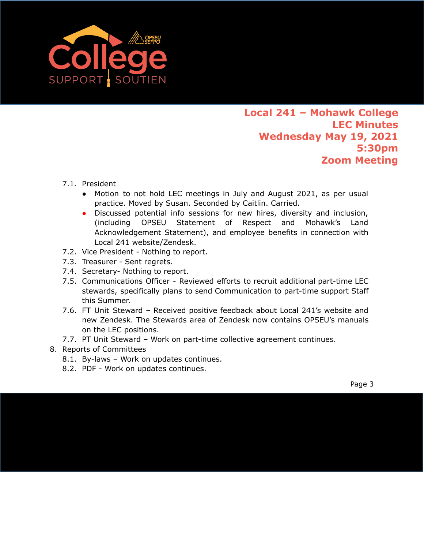

- 7.1. President
	- Motion to not hold LEC meetings in July and August 2021, as per usual practice. Moved by Susan. Seconded by Caitlin. Carried.
	- Discussed potential info sessions for new hires, diversity and inclusion, (including OPSEU Statement of Respect and Mohawk's Land Acknowledgement Statement), and employee benefits in connection with Local 241 website/Zendesk.
- 7.2. Vice President Nothing to report.
- 7.3. Treasurer Sent regrets.
- 7.4. Secretary- Nothing to report.
- 7.5. Communications Officer Reviewed efforts to recruit additional part-time LEC stewards, specifically plans to send Communication to part-time support Staff this Summer.
- 7.6. FT Unit Steward Received positive feedback about Local 241's website and new Zendesk. The Stewards area of Zendesk now contains OPSEU's manuals on the LEC positions.
- 7.7. PT Unit Steward Work on part-time collective agreement continues.
- 8. Reports of Committees
	- 8.1. By-laws Work on updates continues.
	- 8.2. PDF Work on updates continues.